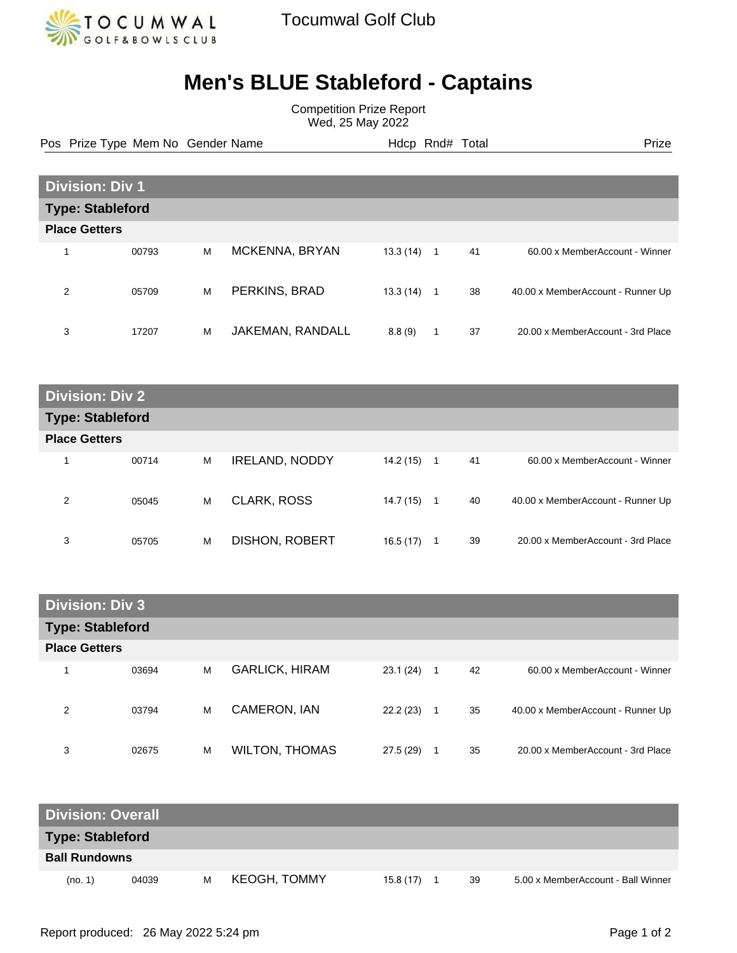

## **Men's BLUE Stableford - Captains**

Competition Prize Report Wed, 25 May 2022

Pos Prize Type Mem No Gender Name **Heath Hotel And According Prize** Prize

| <b>Division: Div 1</b>  |       |   |                  |          |  |    |                                   |
|-------------------------|-------|---|------------------|----------|--|----|-----------------------------------|
| <b>Type: Stableford</b> |       |   |                  |          |  |    |                                   |
| <b>Place Getters</b>    |       |   |                  |          |  |    |                                   |
|                         | 00793 | M | MCKENNA, BRYAN   | 13.3(14) |  | 41 | 60.00 x MemberAccount - Winner    |
| 2                       | 05709 | M | PERKINS, BRAD    | 13.3(14) |  | 38 | 40.00 x MemberAccount - Runner Up |
| 3                       | 17207 | M | JAKEMAN, RANDALL | 8.8(9)   |  | 37 | 20.00 x MemberAccount - 3rd Place |

| <b>Division: Div 2</b>  |       |   |                       |           |    |    |                                   |
|-------------------------|-------|---|-----------------------|-----------|----|----|-----------------------------------|
| <b>Type: Stableford</b> |       |   |                       |           |    |    |                                   |
| <b>Place Getters</b>    |       |   |                       |           |    |    |                                   |
| 1                       | 00714 | M | <b>IRELAND, NODDY</b> | 14.2 (15) | -1 | 41 | 60.00 x MemberAccount - Winner    |
| 2                       | 05045 | M | <b>CLARK, ROSS</b>    | 14.7 (15) | -1 | 40 | 40.00 x MemberAccount - Runner Up |
| 3                       | 05705 | M | <b>DISHON, ROBERT</b> | 16.5 (17) | 1  | 39 | 20.00 x MemberAccount - 3rd Place |

| <b>Division: Div 3</b>  |       |   |                       |          |    |    |                                   |
|-------------------------|-------|---|-----------------------|----------|----|----|-----------------------------------|
| <b>Type: Stableford</b> |       |   |                       |          |    |    |                                   |
| <b>Place Getters</b>    |       |   |                       |          |    |    |                                   |
|                         | 03694 | M | <b>GARLICK, HIRAM</b> | 23.1(24) | -1 | 42 | 60.00 x MemberAccount - Winner    |
| 2                       | 03794 | M | CAMERON, IAN          | 22.2(23) | 1  | 35 | 40.00 x MemberAccount - Runner Up |
| 3                       | 02675 | M | <b>WILTON, THOMAS</b> | 27.5(29) | 1  | 35 | 20.00 x MemberAccount - 3rd Place |

| <b>Division: Overall</b> |       |   |                     |          |  |    |                                    |
|--------------------------|-------|---|---------------------|----------|--|----|------------------------------------|
| <b>Type: Stableford</b>  |       |   |                     |          |  |    |                                    |
| <b>Ball Rundowns</b>     |       |   |                     |          |  |    |                                    |
| (no. 1)                  | 04039 | м | <b>KEOGH, TOMMY</b> | 15.8(17) |  | 39 | 5.00 x MemberAccount - Ball Winner |